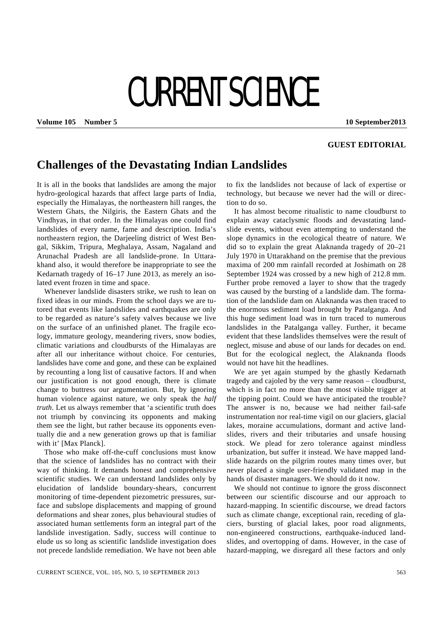## CURRENT SCIENCE

**Volume 105 Number 5 10 September 2013** 

## **GUEST EDITORIAL**

## **Challenges of the Devastating Indian Landslides**

It is all in the books that landslides are among the major hydro-geological hazards that affect large parts of India, especially the Himalayas, the northeastern hill ranges, the Western Ghats, the Nilgiris, the Eastern Ghats and the Vindhyas, in that order. In the Himalayas one could find landslides of every name, fame and description. India's northeastern region, the Darjeeling district of West Bengal, Sikkim, Tripura, Meghalaya, Assam, Nagaland and Arunachal Pradesh are all landslide-prone. In Uttarakhand also, it would therefore be inappropriate to see the Kedarnath tragedy of 16–17 June 2013, as merely an isolated event frozen in time and space.

 Whenever landslide disasters strike, we rush to lean on fixed ideas in our minds. From the school days we are tutored that events like landslides and earthquakes are only to be regarded as nature's safety valves because we live on the surface of an unfinished planet. The fragile ecology, immature geology, meandering rivers, snow bodies, climatic variations and cloudbursts of the Himalayas are after all our inheritance without choice. For centuries, landslides have come and gone, and these can be explained by recounting a long list of causative factors. If and when our justification is not good enough, there is climate change to buttress our argumentation. But, by ignoring human violence against nature, we only speak the *half truth*. Let us always remember that 'a scientific truth does not triumph by convincing its opponents and making them see the light, but rather because its opponents eventually die and a new generation grows up that is familiar with it' [Max Planck].

 Those who make off-the-cuff conclusions must know that the science of landslides has no contract with their way of thinking. It demands honest and comprehensive scientific studies. We can understand landslides only by elucidation of landslide boundary-shears, concurrent monitoring of time-dependent piezometric pressures, surface and subslope displacements and mapping of ground deformations and shear zones, plus behavioural studies of associated human settlements form an integral part of the landslide investigation. Sadly, success will continue to elude us so long as scientific landslide investigation does not precede landslide remediation. We have not been able to fix the landslides not because of lack of expertise or technology, but because we never had the will or direction to do so.

 It has almost become ritualistic to name cloudburst to explain away cataclysmic floods and devastating landslide events, without even attempting to understand the slope dynamics in the ecological theatre of nature. We did so to explain the great Alaknanda tragedy of 20–21 July 1970 in Uttarakhand on the premise that the previous maxima of 200 mm rainfall recorded at Joshimath on 28 September 1924 was crossed by a new high of 212.8 mm. Further probe removed a layer to show that the tragedy was caused by the bursting of a landslide dam. The formation of the landslide dam on Alaknanda was then traced to the enormous sediment load brought by Patalganga. And this huge sediment load was in turn traced to numerous landslides in the Patalganga valley. Further, it became evident that these landslides themselves were the result of neglect, misuse and abuse of our lands for decades on end. But for the ecological neglect, the Alaknanda floods would not have hit the headlines.

 We are yet again stumped by the ghastly Kedarnath tragedy and cajoled by the very same reason – cloudburst, which is in fact no more than the most visible trigger at the tipping point. Could we have anticipated the trouble? The answer is no, because we had neither fail-safe instrumentation nor real-time vigil on our glaciers, glacial lakes, moraine accumulations, dormant and active landslides, rivers and their tributaries and unsafe housing stock. We plead for zero tolerance against mindless urbanization, but suffer it instead. We have mapped landslide hazards on the pilgrim routes many times over, but never placed a single user-friendly validated map in the hands of disaster managers. We should do it now.

 We should not continue to ignore the gross disconnect between our scientific discourse and our approach to hazard-mapping. In scientific discourse, we dread factors such as climate change, exceptional rain, receding of glaciers, bursting of glacial lakes, poor road alignments, non-engineered constructions, earthquake-induced landslides, and overtopping of dams. However, in the case of hazard-mapping, we disregard all these factors and only